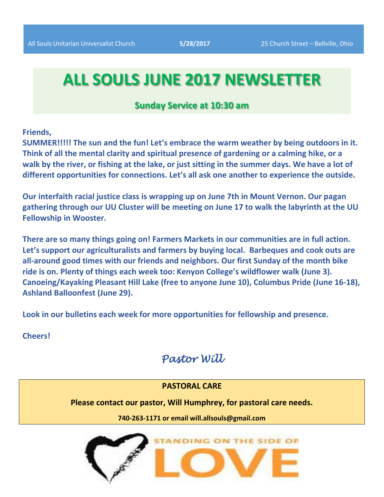# **ALL SOULS JUNE 2017 NEWSLETTER**

# **Sunday Service at 10:30 am**

**Friends,** 

**SUMMER!!!!! The sun and the fun! Let's embrace the warm weather by being outdoors in it. Think of all the mental clarity and spiritual presence of gardening or a calming hike, or a walk by the river, or fishing at the lake, or just sitting in the summer days. We have a lot of different opportunities for connections. Let's all ask one another to experience the outside.** 

**Our interfaith racial justice class is wrapping up on June 7th in Mount Vernon. Our pagan gathering through our UU Cluster will be meeting on June 17 to walk the labyrinth at the UU Fellowship in Wooster.** 

**There are so many things going on! Farmers Markets in our communities are in full action. Let's support our agriculturalists and farmers by buying local. Barbeques and cook outs are all-around good times with our friends and neighbors. Our first Sunday of the month bike ride is on. Plenty of things each week too: Kenyon College's wildflower walk (June 3). Canoeing/Kayaking Pleasant Hill Lake (free to anyone June 10), Columbus Pride (June 16-18), Ashland Balloonfest (June 29).** 

**Look in our bulletins each week for more opportunities for fellowship and presence.**

**Cheers!** 

# *Pastor Will*

## **PASTORAL CARE**

**Please contact our pastor, Will Humphrey, for pastoral care needs.**

**740-263-1171 or email will.allsouls@gmail.com**

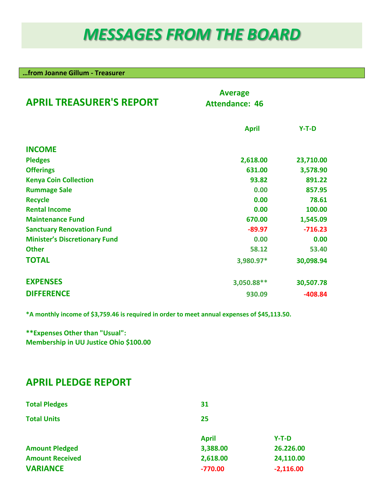# *MESSAGES FROM THE BOARD*

**…from Joanne Gillum - Treasurer**

| <b>APRIL TREASURER'S REPORT</b>      | <b>Average</b><br><b>Attendance: 46</b> |           |
|--------------------------------------|-----------------------------------------|-----------|
|                                      | <b>April</b>                            | $Y-T-D$   |
| <b>INCOME</b>                        |                                         |           |
| <b>Pledges</b>                       | 2,618.00                                | 23,710.00 |
| <b>Offerings</b>                     | 631.00                                  | 3,578.90  |
| <b>Kenya Coin Collection</b>         | 93.82                                   | 891.22    |
| <b>Rummage Sale</b>                  | 0.00                                    | 857.95    |
| <b>Recycle</b>                       | 0.00                                    | 78.61     |
| <b>Rental Income</b>                 | 0.00                                    | 100.00    |
| <b>Maintenance Fund</b>              | 670.00                                  | 1,545.09  |
| <b>Sanctuary Renovation Fund</b>     | $-89.97$                                | $-716.23$ |
| <b>Minister's Discretionary Fund</b> | 0.00                                    | 0.00      |
| <b>Other</b>                         | 58.12                                   | 53.40     |
| <b>TOTAL</b>                         | 3,980.97*                               | 30,098.94 |
| <b>EXPENSES</b>                      | 3,050.88**                              | 30,507.78 |
| <b>DIFFERENCE</b>                    | 930.09                                  | $-408.84$ |

**\*A monthly income of \$3,759.46 is required in order to meet annual expenses of \$45,113.50.**

**\*\*Expenses Other than "Usual": Membership in UU Justice Ohio \$100.00**

# **APRIL PLEDGE REPORT**

| <b>Total Pledges</b>   | 31           |             |
|------------------------|--------------|-------------|
| <b>Total Units</b>     | 25           |             |
|                        | <b>April</b> | $Y-T-D$     |
| <b>Amount Pledged</b>  | 3,388.00     | 26.226.00   |
| <b>Amount Received</b> | 2,618.00     | 24,110.00   |
| <b>VARIANCE</b>        | $-770.00$    | $-2,116.00$ |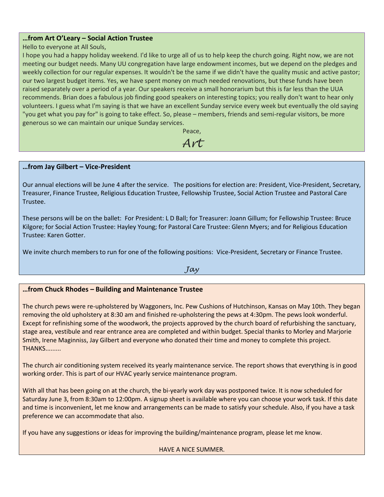#### **…from Art O'Leary – Social Action Trustee**

Hello to everyone at All Souls,

I hope you had a happy holiday weekend. I'd like to urge all of us to help keep the church going. Right now, we are not meeting our budget needs. Many UU congregation have large endowment incomes, but we depend on the pledges and weekly collection for our regular expenses. It wouldn't be the same if we didn't have the quality music and active pastor; our two largest budget items. Yes, we have spent money on much needed renovations, but these funds have been raised separately over a period of a year. Our speakers receive a small honorarium but this is far less than the UUA recommends. Brian does a fabulous job finding good speakers on interesting topics; you really don't want to hear only volunteers. I guess what I'm saying is that we have an excellent Sunday service every week but eventually the old saying "you get what you pay for" is going to take effect. So, please – members, friends and semi-regular visitors, be more generous so we can maintain our unique Sunday services.

> Peace, *Art*

#### **…from Jay Gilbert – Vice-President**

Our annual elections will be June 4 after the service. The positions for election are: President, Vice-President, Secretary, Treasurer, Finance Trustee, Religious Education Trustee, Fellowship Trustee, Social Action Trustee and Pastoral Care Trustee.

These persons will be on the ballet: For President: L D Ball; for Treasurer: Joann Gillum; for Fellowship Trustee: Bruce Kilgore; for Social Action Trustee: Hayley Young; for Pastoral Care Trustee: Glenn Myers; and for Religious Education Trustee: Karen Gotter.

We invite church members to run for one of the following positions: Vice-President, Secretary or Finance Trustee.

*Jay*

#### **…from Chuck Rhodes – Building and Maintenance Trustee**

The church pews were re-upholstered by Waggoners, Inc. Pew Cushions of Hutchinson, Kansas on May 10th. They began removing the old upholstery at 8:30 am and finished re-upholstering the pews at 4:30pm. The pews look wonderful. Except for refinishing some of the woodwork, the projects approved by the church board of refurbishing the sanctuary, stage area, vestibule and rear entrance area are completed and within budget. Special thanks to Morley and Marjorie Smith, Irene Maginniss, Jay Gilbert and everyone who donated their time and money to complete this project. THANKS.........

The church air conditioning system received its yearly maintenance service. The report shows that everything is in good working order. This is part of our HVAC yearly service maintenance program.

With all that has been going on at the church, the bi-yearly work day was postponed twice. It is now scheduled for Saturday June 3, from 8:30am to 12:00pm. A signup sheet is available where you can choose your work task. If this date and time is inconvenient, let me know and arrangements can be made to satisfy your schedule. Also, if you have a task preference we can accommodate that also.

If you have any suggestions or ideas for improving the building/maintenance program, please let me know.

#### HAVE A NICE SUMMER.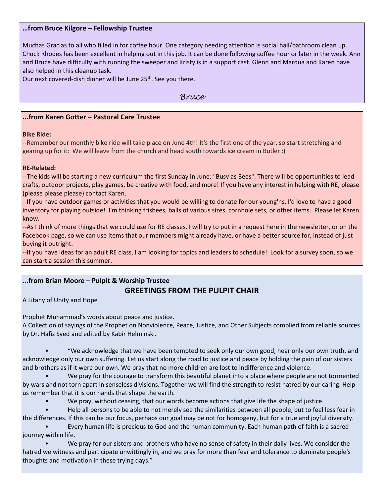#### **…from Bruce Kilgore – Fellowship Trustee**

Muchas Gracias to all who filled in for coffee hour. One category needing attention is social hall/bathroom clean up. Chuck Rhodes has been excellent in helping out in this job. It can be done following coffee hour or later in the week. Ann and Bruce have difficulty with running the sweeper and Kristy is in a support cast. Glenn and Marqua and Karen have also helped in this cleanup task.

Our next covered-dish dinner will be June 25<sup>th</sup>. See you there.

#### *Bruce*

#### **...from Karen Gotter – Pastoral Care Trustee**

#### **Bike Ride:**

--Remember our monthly bike ride will take place on June 4th! It's the first one of the year, so start stretching and gearing up for it: We will leave from the church and head south towards ice cream in Butler :)

#### **RE-Related:**

--The kids will be starting a new curriculum the first Sunday in June: "Busy as Bees". There will be opportunities to lead crafts, outdoor projects, play games, be creative with food, and more! If you have any interest in helping with RE, please (please please please) contact Karen.

--If you have outdoor games or activities that you would be willing to donate for our young'ns, I'd love to have a good inventory for playing outside! I'm thinking frisbees, balls of various sizes, cornhole sets, or other items. Please let Karen know.

--As I think of more things that we could use for RE classes, I will try to put in a request here in the newsletter, or on the Facebook page, so we can use items that our members might already have, or have a better source for, instead of just buying it outright.

--If you have ideas for an adult RE class, I am looking for topics and leaders to schedule! Look for a survey soon, so we can start a session this summer.

## **...from Brian Moore – Pulpit & Worship Trustee**

### **GREETINGS FROM THE PULPIT CHAIR**

A Litany of Unity and Hope

Prophet Muhammad's words about peace and justice.

A Collection of sayings of the Prophet on Nonviolence, Peace, Justice, and Other Subjects complied from reliable sources by Dr. Hafiz Syed and edited by Kabir Helminski.

• "We acknowledge that we have been tempted to seek only our own good, hear only our own truth, and acknowledge only our own suffering. Let us start along the road to justice and peace by holding the pain of our sisters and brothers as if it were our own. We pray that no more children are lost to indifference and violence.

• We pray for the courage to transform this beautiful planet into a place where people are not tormented by wars and not torn apart in senseless divisions. Together we will find the strength to resist hatred by our caring. Help us remember that it is our hands that shape the earth.

• We pray, without ceasing, that our words become actions that give life the shape of justice.

• Help all persons to be able to not merely see the similarities between all people, but to feel less fear in the differences. If this can be our focus, perhaps our goal may be not for homogeny, but for a true and joyful diversity.

• Every human life is precious to God and the human community. Each human path of faith is a sacred journey within life.

• We pray for our sisters and brothers who have no sense of safety in their daily lives. We consider the hatred we witness and participate unwittingly in, and we pray for more than fear and tolerance to dominate people's thoughts and motivation in these trying days."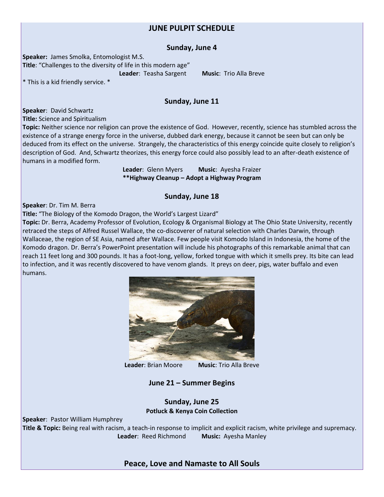### **JUNE PULPIT SCHEDULE**

#### **Sunday, June 4**

**Speaker:** James Smolka, Entomologist M.S. **Title**: "Challenges to the diversity of life in this modern age"

**Leader**: Teasha Sargent **Music**: Trio Alla Breve

\* This is a kid friendly service. \*

#### **Sunday, June 11**

**Speaker**: David Schwartz

**Title:** Science and Spiritualism

**Topic:** Neither science nor religion can prove the existence of God. However, recently, science has stumbled across the existence of a strange energy force in the universe, dubbed dark energy, because it cannot be seen but can only be deduced from its effect on the universe. Strangely, the characteristics of this energy coincide quite closely to religion's description of God. And, Schwartz theorizes, this energy force could also possibly lead to an after-death existence of humans in a modified form.

> **Leader**: Glenn Myers **Music**: Ayesha Fraizer **\*\*Highway Cleanup – Adopt a Highway Program**

#### **Sunday, June 18**

**Speaker**: Dr. Tim M. Berra

**Title:** "The Biology of the Komodo Dragon, the World's Largest Lizard"

**Topic:** Dr. Berra, Academy Professor of Evolution, Ecology & Organismal Biology at The Ohio State University, recently retraced the steps of Alfred Russel Wallace, the co-discoverer of natural selection with Charles Darwin, through Wallaceae, the region of SE Asia, named after Wallace. Few people visit Komodo Island in Indonesia, the home of the Komodo dragon. Dr. Berra's PowerPoint presentation will include his photographs of this remarkable animal that can reach 11 feet long and 300 pounds. It has a foot-long, yellow, forked tongue with which it smells prey. Its bite can lead to infection, and it was recently discovered to have venom glands. It preys on deer, pigs, water buffalo and even humans.



**Leader**: Brian Moore **Music**: Trio Alla Breve

#### **June 21 – Summer Begins**

**Sunday, June 25 Potluck & Kenya Coin Collection**

**Speaker**: Pastor William Humphrey

**Title & Topic:** Being real with racism, a teach-in response to implicit and explicit racism, white privilege and supremacy. **Leader**: Reed Richmond **Music:** Ayesha Manley

#### **Peace, Love and Namaste to All Souls**